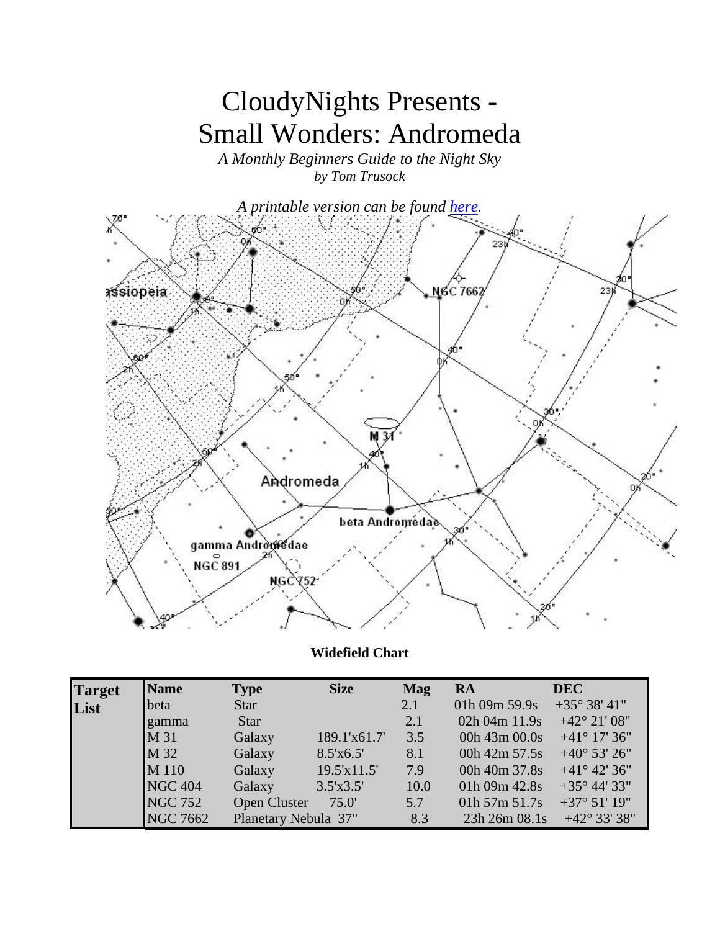# CloudyNights Presents - Small Wonders: Andromeda

*A Monthly Beginners Guide to the Night Sky by Tom Trusock* 



**Widefield Chart**

| <b>Target</b> | <b>Name</b>     | <b>Type</b>          | <b>Size</b>  | <b>Mag</b> | RA            | <b>DEC</b>             |
|---------------|-----------------|----------------------|--------------|------------|---------------|------------------------|
| List          | beta            | <b>Star</b>          |              | 2.1        | 01h 09m 59.9s | $+35^{\circ} 38' 41''$ |
|               | gamma           | <b>Star</b>          |              | 2.1        | 02h 04m 11.9s | $+42^{\circ} 21' 08''$ |
|               | M 31            | Galaxy               | 189.1'x61.7' | 3.5        | 00h 43m 00.0s | $+41^{\circ}$ 17' 36"  |
|               | M 32            | Galaxy               | 8.5'x6.5'    | 8.1        | 00h 42m 57.5s | $+40^{\circ}$ 53' 26"  |
|               | M 110           | Galaxy               | 19.5'x11.5'  | 7.9        | 00h 40m 37.8s | $+41^{\circ} 42' 36''$ |
|               | NGC 404         | Galaxy               | 3.5'x3.5'    | 10.0       | 01h 09m 42.8s | $+35^{\circ}$ 44' 33"  |
|               | <b>NGC 752</b>  | <b>Open Cluster</b>  | 75.0'        | 5.7        | 01h 57m 51.7s | $+37^{\circ} 51' 19''$ |
|               | <b>NGC 7662</b> | Planetary Nebula 37" |              | 8.3        | 23h 26m 08.1s | $+42^{\circ} 33' 38''$ |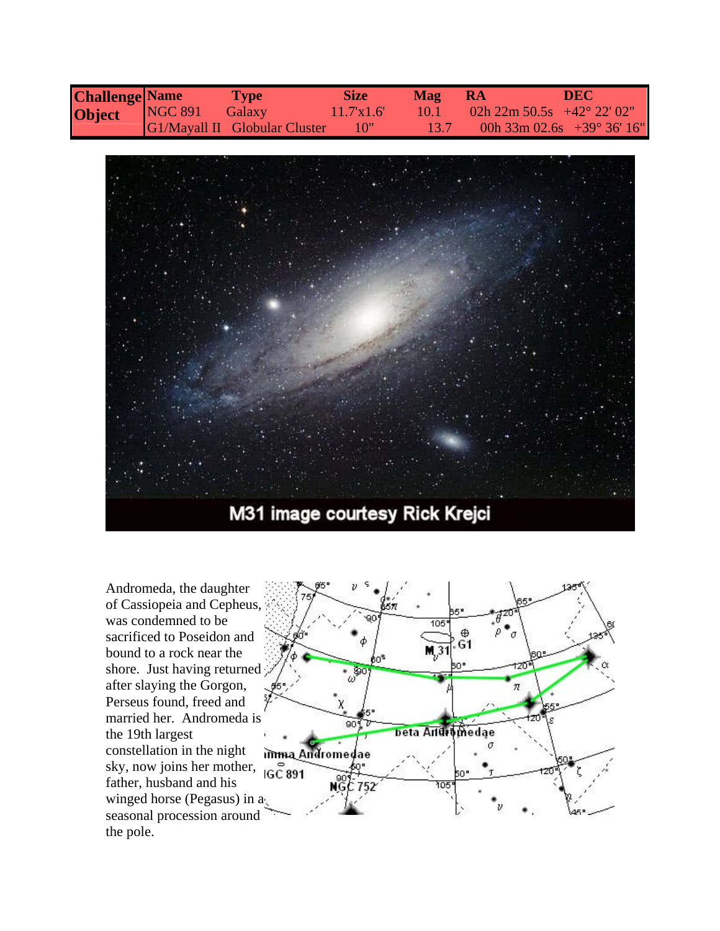| <b>Challenge Name</b> |                | <b>Type</b>                          | <b>Size</b> | <b>Mag</b> | -RA                                 | <b>DEC</b>                            |
|-----------------------|----------------|--------------------------------------|-------------|------------|-------------------------------------|---------------------------------------|
| Object                | <b>NGC 891</b> | Galaxy                               | 11.7x1.6'   | 40.T       | 02h 22m 50.5s $+42^{\circ}$ 22' 02" |                                       |
|                       |                | <b>G1/Mayall II</b> Globular Cluster | MO"\        |            |                                     | 00h $33m 02.6s + 39^{\circ} 36' 16''$ |



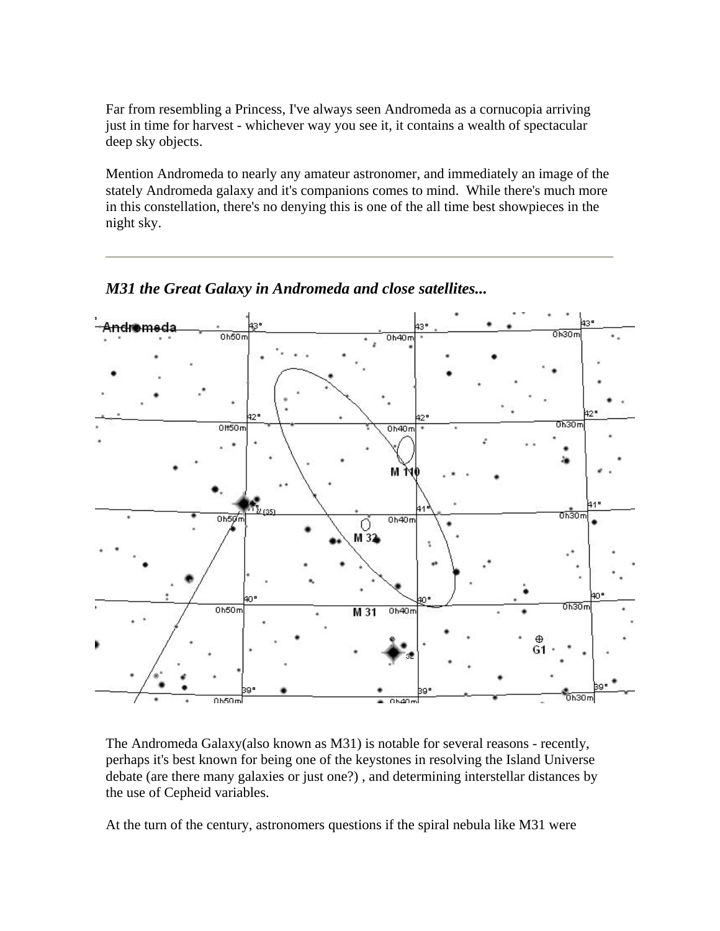Far from resembling a Princess, I've always seen Andromeda as a cornucopia arriving just in time for harvest - whichever way you see it, it contains a wealth of spectacular deep sky objects.

Mention Andromeda to nearly any amateur astronomer, and immediately an image of the stately Andromeda galaxy and it's companions comes to mind. While there's much more in this constellation, there's no denying this is one of the all time best showpieces in the night sky.



*M31 the Great Galaxy in Andromeda and close satellites...*

The Andromeda Galaxy(also known as M31) is notable for several reasons - recently, perhaps it's best known for being one of the keystones in resolving the Island Universe debate (are there many galaxies or just one?) , and determining interstellar distances by the use of Cepheid variables.

At the turn of the century, astronomers questions if the spiral nebula like M31 were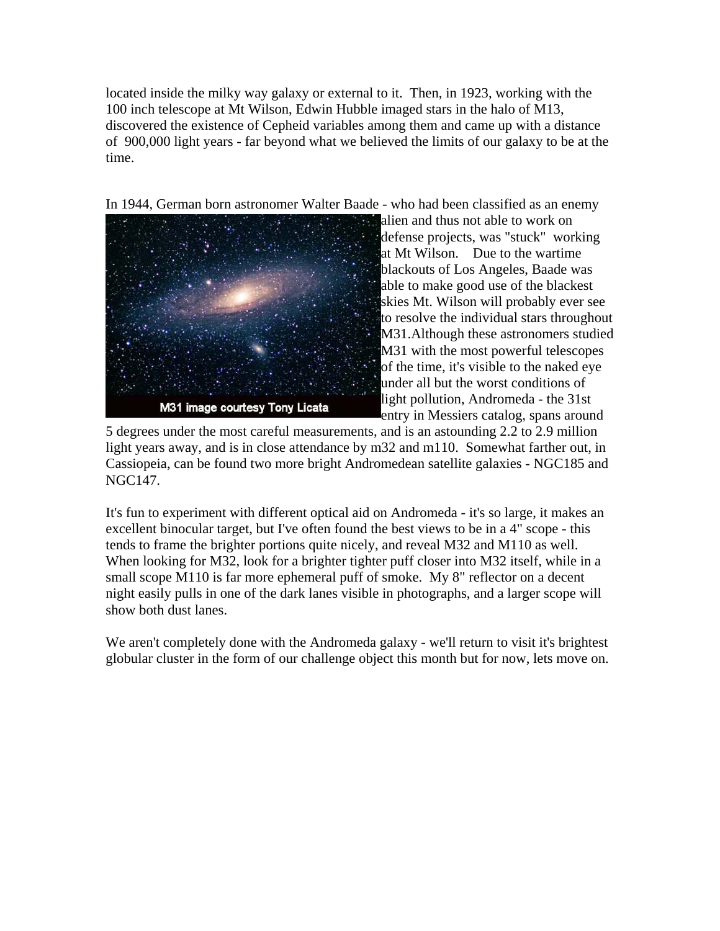located inside the milky way galaxy or external to it. Then, in 1923, working with the 100 inch telescope at Mt Wilson, Edwin Hubble imaged stars in the halo of M13, discovered the existence of Cepheid variables among them and came up with a distance of 900,000 light years - far beyond what we believed the limits of our galaxy to be at the time.

In 1944, German born astronomer Walter Baade - who had been classified as an enemy



alien and thus not able to work on defense projects, was "stuck" working at Mt Wilson. Due to the wartime blackouts of Los Angeles, Baade was able to make good use of the blackest skies Mt. Wilson will probably ever see to resolve the individual stars throughout M31.Although these astronomers studied M31 with the most powerful telescopes of the time, it's visible to the naked eye under all but the worst conditions of light pollution, Andromeda - the 31st entry in Messiers catalog, spans around

5 degrees under the most careful measurements, and is an astounding 2.2 to 2.9 million light years away, and is in close attendance by m32 and m110. Somewhat farther out, in Cassiopeia, can be found two more bright Andromedean satellite galaxies - NGC185 and NGC147.

It's fun to experiment with different optical aid on Andromeda - it's so large, it makes an excellent binocular target, but I've often found the best views to be in a 4" scope - this tends to frame the brighter portions quite nicely, and reveal M32 and M110 as well. When looking for M32, look for a brighter tighter puff closer into M32 itself, while in a small scope M110 is far more ephemeral puff of smoke. My 8" reflector on a decent night easily pulls in one of the dark lanes visible in photographs, and a larger scope will show both dust lanes.

We aren't completely done with the Andromeda galaxy - we'll return to visit it's brightest globular cluster in the form of our challenge object this month but for now, lets move on.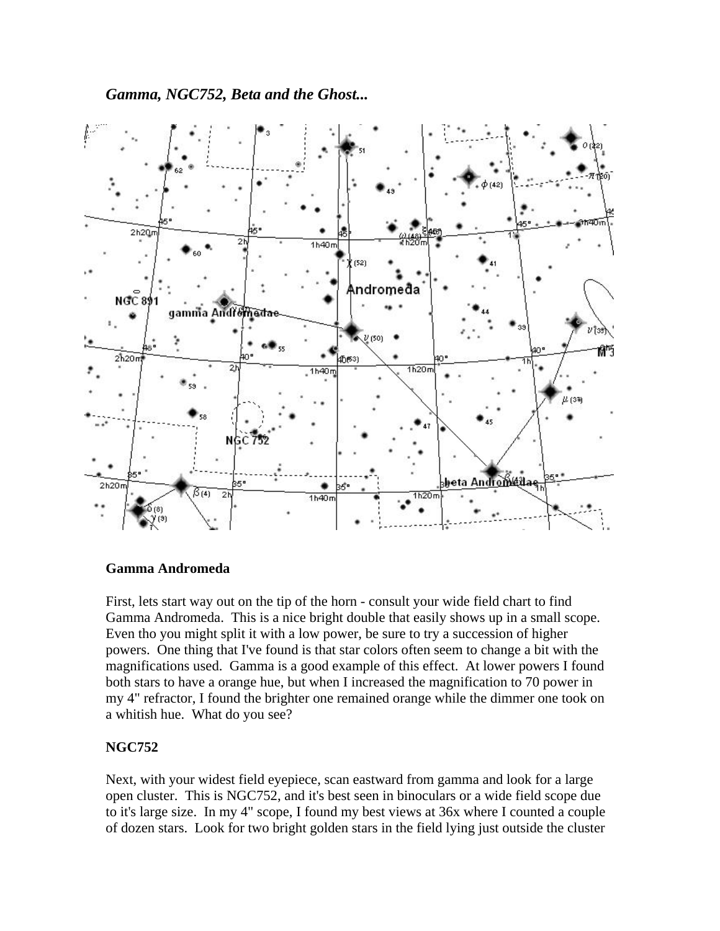*Gamma, NGC752, Beta and the Ghost...* 



#### **Gamma Andromeda**

First, lets start way out on the tip of the horn - consult your wide field chart to find Gamma Andromeda. This is a nice bright double that easily shows up in a small scope. Even tho you might split it with a low power, be sure to try a succession of higher powers. One thing that I've found is that star colors often seem to change a bit with the magnifications used. Gamma is a good example of this effect. At lower powers I found both stars to have a orange hue, but when I increased the magnification to 70 power in my 4" refractor, I found the brighter one remained orange while the dimmer one took on a whitish hue. What do you see?

### **NGC752**

Next, with your widest field eyepiece, scan eastward from gamma and look for a large open cluster. This is NGC752, and it's best seen in binoculars or a wide field scope due to it's large size. In my 4" scope, I found my best views at 36x where I counted a couple of dozen stars. Look for two bright golden stars in the field lying just outside the cluster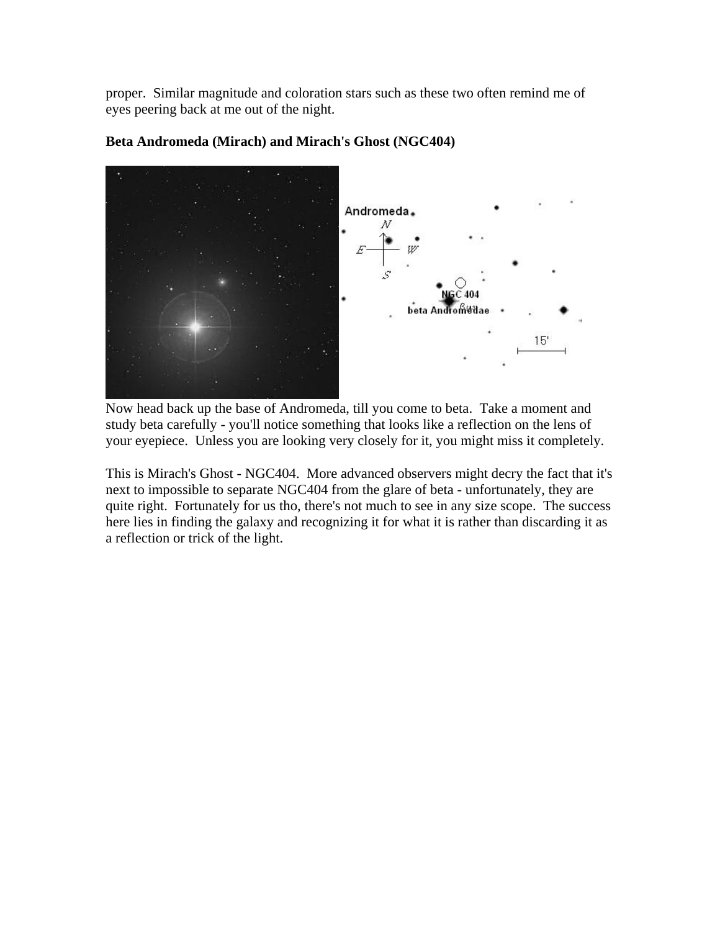proper. Similar magnitude and coloration stars such as these two often remind me of eyes peering back at me out of the night.



#### **Beta Andromeda (Mirach) and Mirach's Ghost (NGC404)**

Now head back up the base of Andromeda, till you come to beta. Take a moment and study beta carefully - you'll notice something that looks like a reflection on the lens of your eyepiece. Unless you are looking very closely for it, you might miss it completely.

This is Mirach's Ghost - NGC404. More advanced observers might decry the fact that it's next to impossible to separate NGC404 from the glare of beta - unfortunately, they are quite right. Fortunately for us tho, there's not much to see in any size scope. The success here lies in finding the galaxy and recognizing it for what it is rather than discarding it as a reflection or trick of the light.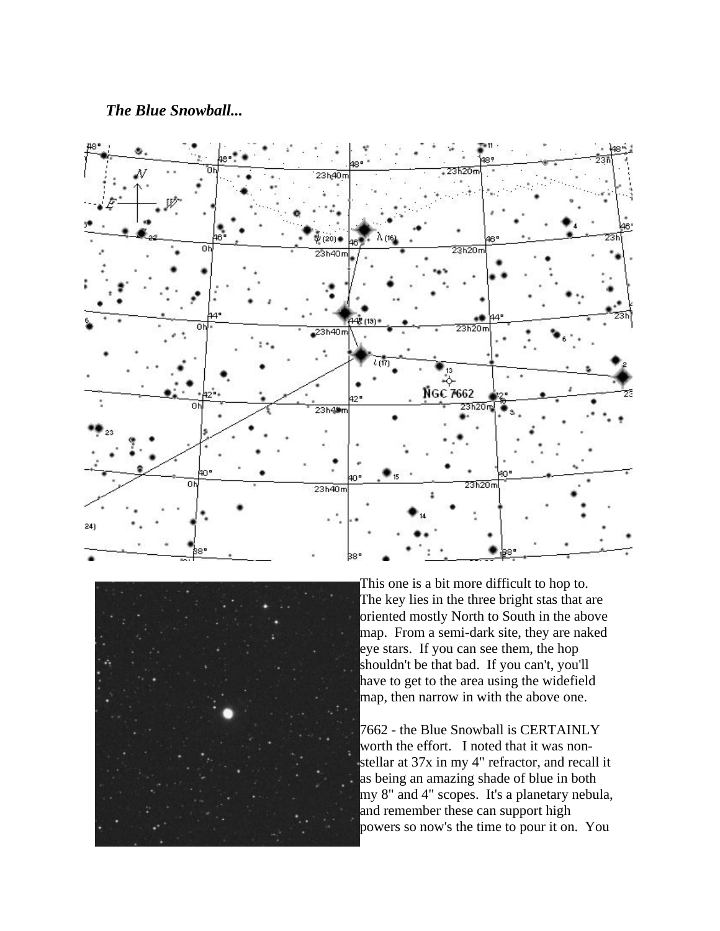#### *The Blue Snowball...*





This one is a bit more difficult to hop to. The key lies in the three bright stas that are oriented mostly North to South in the above map. From a semi-dark site, they are naked eye stars. If you can see them, the hop shouldn't be that bad. If you can't, you'll have to get to the area using the widefield map, then narrow in with the above one.

7662 - the Blue Snowball is CERTAINLY worth the effort. I noted that it was nonstellar at 37x in my 4" refractor, and recall it as being an amazing shade of blue in both my 8" and 4" scopes. It's a planetary nebula, and remember these can support high powers so now's the time to pour it on. You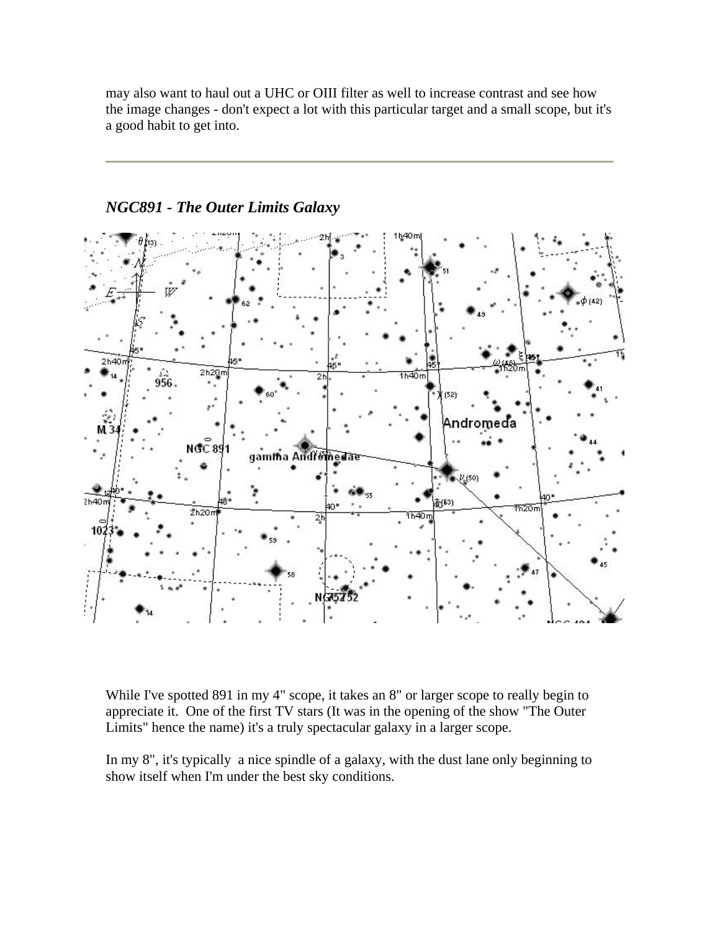may also want to haul out a UHC or OIII filter as well to increase contrast and see how the image changes - don't expect a lot with this particular target and a small scope, but it's a good habit to get into.



## *NGC891 - The Outer Limits Galaxy*

While I've spotted 891 in my 4" scope, it takes an 8" or larger scope to really begin to appreciate it. One of the first TV stars (It was in the opening of the show "The Outer Limits" hence the name) it's a truly spectacular galaxy in a larger scope.

In my 8", it's typically a nice spindle of a galaxy, with the dust lane only beginning to show itself when I'm under the best sky conditions.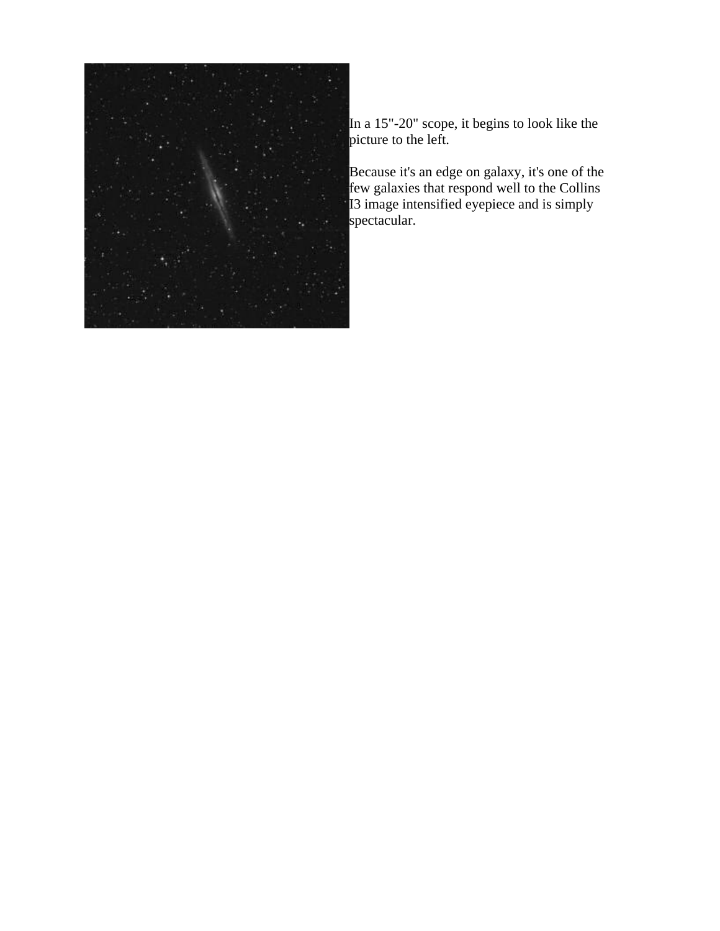

In a 15"-20" scope, it begins to look like the picture to the left.

Because it's an edge on galaxy, it's one of the few galaxies that respond well to the Collins I3 image intensified eyepiece and is simply spectacular.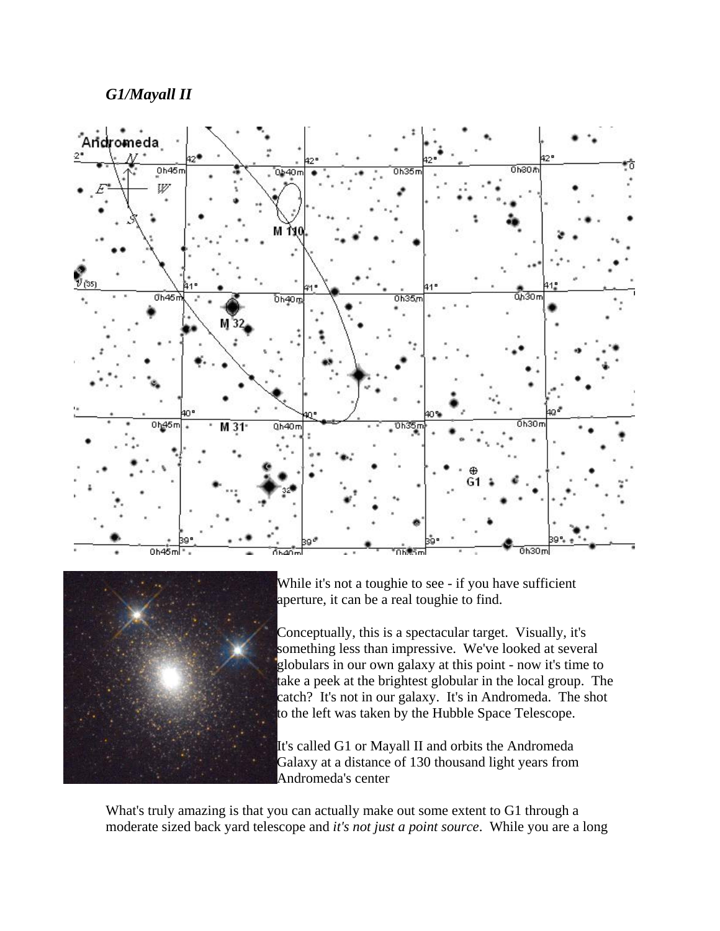## *G1/Mayall II*





While it's not a toughie to see - if you have sufficient aperture, it can be a real toughie to find.

Conceptually, this is a spectacular target. Visually, it's something less than impressive. We've looked at several globulars in our own galaxy at this point - now it's time to take a peek at the brightest globular in the local group. The catch? It's not in our galaxy. It's in Andromeda. The shot to the left was taken by the Hubble Space Telescope.

It's called G1 or Mayall II and orbits the Andromeda Galaxy at a distance of 130 thousand light years from Andromeda's center

What's truly amazing is that you can actually make out some extent to G1 through a moderate sized back yard telescope and *it's not just a point source*. While you are a long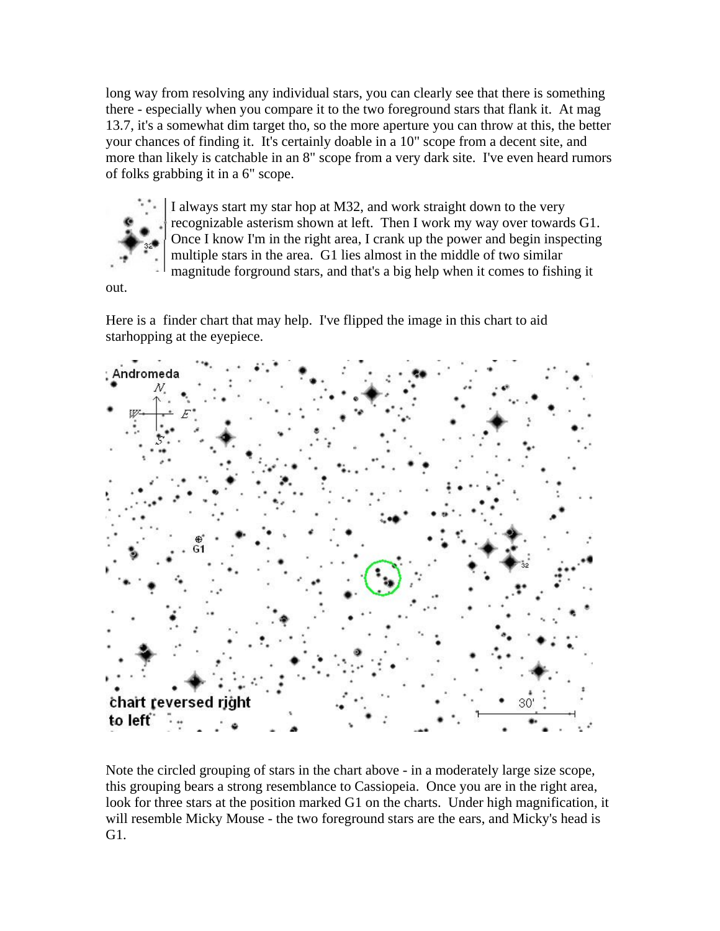long way from resolving any individual stars, you can clearly see that there is something there - especially when you compare it to the two foreground stars that flank it. At mag 13.7, it's a somewhat dim target tho, so the more aperture you can throw at this, the better your chances of finding it. It's certainly doable in a 10" scope from a decent site, and more than likely is catchable in an 8" scope from a very dark site. I've even heard rumors of folks grabbing it in a 6" scope.



I always start my star hop at M32, and work straight down to the very recognizable asterism shown at left. Then I work my way over towards G1. Once I know I'm in the right area, I crank up the power and begin inspecting multiple stars in the area. G1 lies almost in the middle of two similar magnitude forground stars, and that's a big help when it comes to fishing it

out.

Here is a finder chart that may help. I've flipped the image in this chart to aid starhopping at the eyepiece.



Note the circled grouping of stars in the chart above - in a moderately large size scope, this grouping bears a strong resemblance to Cassiopeia. Once you are in the right area, look for three stars at the position marked G1 on the charts. Under high magnification, it will resemble Micky Mouse - the two foreground stars are the ears, and Micky's head is G1.